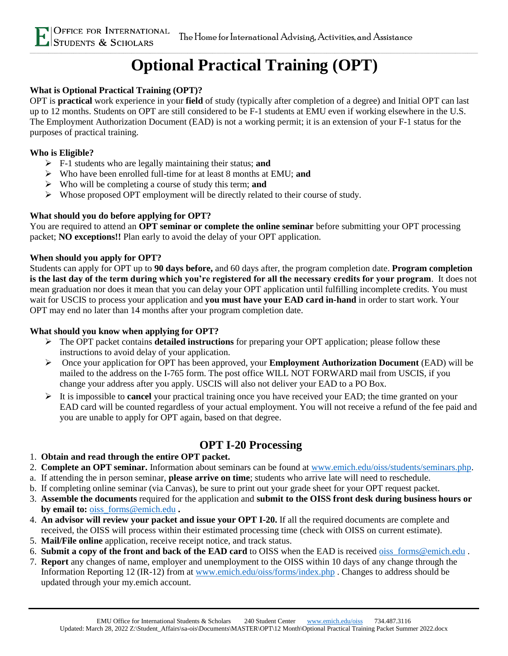# **Optional Practical Training (OPT)**

### **What is Optional Practical Training (OPT)?**

OPT is **practical** work experience in your **field** of study (typically after completion of a degree) and Initial OPT can last up to 12 months. Students on OPT are still considered to be F-1 students at EMU even if working elsewhere in the U.S. The Employment Authorization Document (EAD) is not a working permit; it is an extension of your F-1 status for the purposes of practical training.

#### **Who is Eligible?**

- ➢ F-1 students who are legally maintaining their status; **and**
- ➢ Who have been enrolled full-time for at least 8 months at EMU; **and**
- ➢ Who will be completing a course of study this term; **and**
- ➢ Whose proposed OPT employment will be directly related to their course of study.

### **What should you do before applying for OPT?**

You are required to attend an **OPT seminar or complete the online seminar** before submitting your OPT processing packet; **NO exceptions!!** Plan early to avoid the delay of your OPT application.

### **When should you apply for OPT?**

Students can apply for OPT up to **90 days before,** and 60 days after, the program completion date. **Program completion is the last day of the term during which you're registered for all the necessary credits for your program**. It does not mean graduation nor does it mean that you can delay your OPT application until fulfilling incomplete credits. You must wait for USCIS to process your application and **you must have your EAD card in-hand** in order to start work. Your OPT may end no later than 14 months after your program completion date.

#### **What should you know when applying for OPT?**

- ➢ The OPT packet contains **detailed instructions** for preparing your OPT application; please follow these instructions to avoid delay of your application.
- ➢ Once your application for OPT has been approved, your **Employment Authorization Document** (EAD) will be mailed to the address on the I-765 form. The post office WILL NOT FORWARD mail from USCIS, if you change your address after you apply. USCIS will also not deliver your EAD to a PO Box.
- ➢ It is impossible to **cancel** your practical training once you have received your EAD; the time granted on your EAD card will be counted regardless of your actual employment. You will not receive a refund of the fee paid and you are unable to apply for OPT again, based on that degree.

### **OPT I-20 Processing**

#### 1. **Obtain and read through the entire OPT packet.**

- 2. **Complete an OPT seminar.** Information about seminars can be found at www.emich.edu/oiss/students/seminars.php.
- a. If attending the in person seminar, **please arrive on time**; students who arrive late will need to reschedule.
- b. If completing online seminar (via Canvas), be sure to print out your grade sheet for your OPT request packet.
- 3. **Assemble the documents** required for the application and **submit to the OISS front desk during business hours or by email to:** [oiss\\_forms@emich.edu](mailto:oiss_forms@emich.edu) **.**
- 4. **An advisor will review your packet and issue your OPT I-20.** If all the required documents are complete and received, the OISS will process within their estimated processing time (check with OISS on current estimate).
- 5. **Mail/File online** application, receive receipt notice, and track status.
- 6. **Submit a copy of the front and back of the EAD card** to OISS when the EAD is received [oiss\\_forms@emich.edu](mailto:oiss_forms@emich.edu) .
- 7. **Report** any changes of name, employer and unemployment to the OISS within 10 days of any change through the Information Reporting 12 (IR-12) from at [www.emich.edu/oiss/forms/index.php](http://www.emich.edu/oiss/forms/index.php) . Changes to address should be updated through your my.emich account.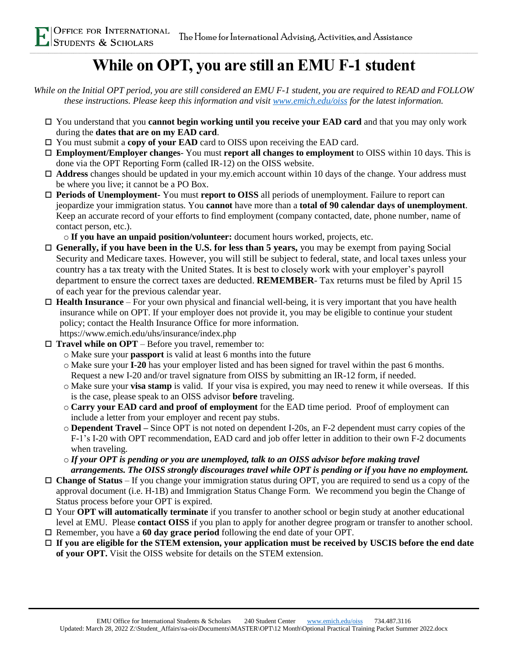## **While on OPT, you are still an EMU F-1 student**

*While on the Initial OPT period, you are still considered an EMU F-1 student, you are required to READ and FOLLOW these instructions. Please keep this information and visit [www.emich.edu/oiss](http://www.emich.edu/oiss) for the latest information.*

- You understand that you **cannot begin working until you receive your EAD card** and that you may only work during the **dates that are on my EAD card**.
- □ You must submit a **copy of your EAD** card to OISS upon receiving the EAD card.
- **Employment/Employer changes** You must **report all changes to employment** to OISS within 10 days. This is done via the OPT Reporting Form (called IR-12) on the OISS website.
- **Address** changes should be updated in your my.emich account within 10 days of the change. Your address must be where you live; it cannot be a PO Box.
- **Periods of Unemployment-** You must **report to OISS** all periods of unemployment. Failure to report can jeopardize your immigration status. You **cannot** have more than a **total of 90 calendar days of unemployment**. Keep an accurate record of your efforts to find employment (company contacted, date, phone number, name of contact person, etc.).

o **If you have an unpaid position/volunteer:** document hours worked, projects, etc.

- **Generally, if you have been in the U.S. for less than 5 years,** you may be exempt from paying Social Security and Medicare taxes. However, you will still be subject to federal, state, and local taxes unless your country has a tax treaty with the United States. It is best to closely work with your employer's payroll department to ensure the correct taxes are deducted. **REMEMBER**- Tax returns must be filed by April 15 of each year for the previous calendar year.
- **Health Insurance** For your own physical and financial well-being, it is very important that you have health insurance while on OPT. If your employer does not provide it, you may be eligible to continue your student policy; contact the Health Insurance Office for more information. https://www.emich.edu/uhs/insurance/index.php

**Travel while on OPT** – Before you travel, remember to:

- o Make sure your **passport** is valid at least 6 months into the future
- o Make sure your **I-20** has your employer listed and has been signed for travel within the past 6 months. Request a new I-20 and/or travel signature from OISS by submitting an IR-12 form, if needed.
- o Make sure your **visa stamp** is valid. If your visa is expired, you may need to renew it while overseas. If this is the case, please speak to an OISS advisor **before** traveling.
- o **Carry your EAD card and proof of employment** for the EAD time period. Proof of employment can include a letter from your employer and recent pay stubs.
- o **Dependent Travel –** Since OPT is not noted on dependent I-20s, an F-2 dependent must carry copies of the F-1's I-20 with OPT recommendation, EAD card and job offer letter in addition to their own F-2 documents when traveling.
- o *If your OPT is pending or you are unemployed, talk to an OISS advisor before making travel arrangements. The OISS strongly discourages travel while OPT is pending or if you have no employment.*
- **Change of Status** If you change your immigration status during OPT, you are required to send us a copy of the approval document (i.e. H-1B) and Immigration Status Change Form. We recommend you begin the Change of Status process before your OPT is expired.
- Your **OPT will automatically terminate** if you transfer to another school or begin study at another educational level at EMU. Please **contact OISS** if you plan to apply for another degree program or transfer to another school.
- Remember, you have a **60 day grace period** following the end date of your OPT.
- **If you are eligible for the STEM extension, your application must be received by USCIS before the end date of your OPT.** Visit the OISS website for details on the STEM extension.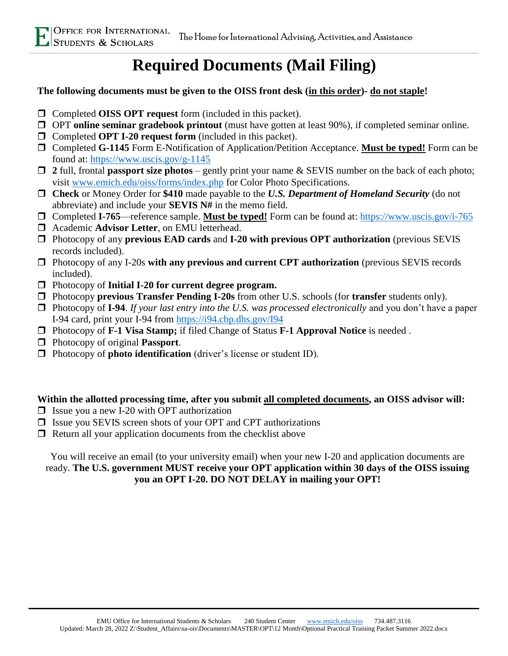## **Required Documents (Mail Filing)**

### **The following documents must be given to the OISS front desk (in this order)- do not staple!**

- Completed **OISS OPT request** form (included in this packet).
- OPT **online seminar gradebook printout** (must have gotten at least 90%), if completed seminar online.
- □ Completed **OPT I-20 request form** (included in this packet).
- Completed **G-1145** Form E-Notification of Application/Petition Acceptance. **Must be typed!** Form can be found at:<https://www.uscis.gov/g-1145>
- **2** full, frontal **passport size photos** gently print your name & SEVIS number on the back of each photo; visit www.emich.edu/oiss/forms/index.php for Color Photo Specifications.
- **Check** or Money Order for **\$410** made payable to the *U.S. Department of Homeland Security* (do not abbreviate) and include your **SEVIS N#** in the memo field.
- Completed **I-765**—reference sample. **Must be typed!** Form can be found at:<https://www.uscis.gov/i-765>
- Academic **Advisor Letter**, on EMU letterhead.
- Photocopy of any **previous EAD cards** and **I-20 with previous OPT authorization** (previous SEVIS records included).
- Photocopy of any I-20s **with any previous and current CPT authorization** (previous SEVIS records included).
- Photocopy of **Initial I-20 for current degree program.**
- Photocopy **previous Transfer Pending I-20s** from other U.S. schools (for **transfer** students only).
- Photocopy of **I-94**. *If your last entry into the U.S. was processed electronically* and you don't have a paper I-94 card, print your I-94 from <https://i94.cbp.dhs.gov/I94>
- Photocopy of **F-1 Visa Stamp;** if filed Change of Status **F-1 Approval Notice** is needed .
- Photocopy of original **Passport**.
- □ Photocopy of **photo identification** (driver's license or student ID).

### **Within the allotted processing time, after you submit all completed documents, an OISS advisor will:**

- $\Box$  Issue you a new I-20 with OPT authorization
- $\Box$  Issue you SEVIS screen shots of your OPT and CPT authorizations
- $\Box$  Return all your application documents from the checklist above

You will receive an email (to your university email) when your new I-20 and application documents are ready. **The U.S. government MUST receive your OPT application within 30 days of the OISS issuing you an OPT I-20. DO NOT DELAY in mailing your OPT!**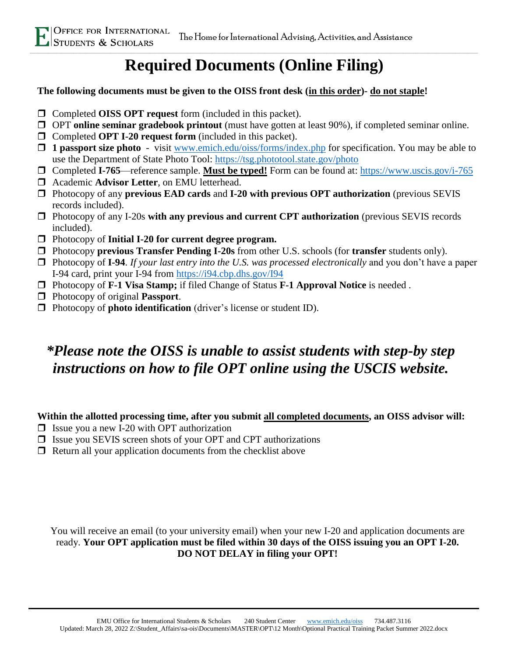## **Required Documents (Online Filing)**

### **The following documents must be given to the OISS front desk (in this order)- do not staple!**

- Completed **OISS OPT request** form (included in this packet).
- OPT **online seminar gradebook printout** (must have gotten at least 90%), if completed seminar online.
- □ Completed **OPT I-20 request form** (included in this packet).
- **1 passport size photo** visit www.emich.edu/oiss/forms/index.php for specification. You may be able to use the Department of State Photo Tool:<https://tsg.phototool.state.gov/photo>
- □ Completed **I-765**—reference sample. **Must be typed!** Form can be found at:<https://www.uscis.gov/i-765>
- Academic **Advisor Letter**, on EMU letterhead.
- Photocopy of any **previous EAD cards** and **I-20 with previous OPT authorization** (previous SEVIS records included).
- Photocopy of any I-20s **with any previous and current CPT authorization** (previous SEVIS records included).
- Photocopy of **Initial I-20 for current degree program.**
- Photocopy **previous Transfer Pending I-20s** from other U.S. schools (for **transfer** students only).
- Photocopy of **I-94**. *If your last entry into the U.S. was processed electronically* and you don't have a paper I-94 card, print your I-94 from <https://i94.cbp.dhs.gov/I94>
- Photocopy of **F-1 Visa Stamp;** if filed Change of Status **F-1 Approval Notice** is needed .
- Photocopy of original **Passport**.
- □ Photocopy of **photo identification** (driver's license or student ID).

## *\*Please note the OISS is unable to assist students with step-by step instructions on how to file OPT online using the USCIS website.*

### **Within the allotted processing time, after you submit all completed documents, an OISS advisor will:**

- $\Box$  Issue you a new I-20 with OPT authorization
- □ Issue you SEVIS screen shots of your OPT and CPT authorizations
- $\Box$  Return all your application documents from the checklist above

You will receive an email (to your university email) when your new I-20 and application documents are ready. **Your OPT application must be filed within 30 days of the OISS issuing you an OPT I-20. DO NOT DELAY in filing your OPT!**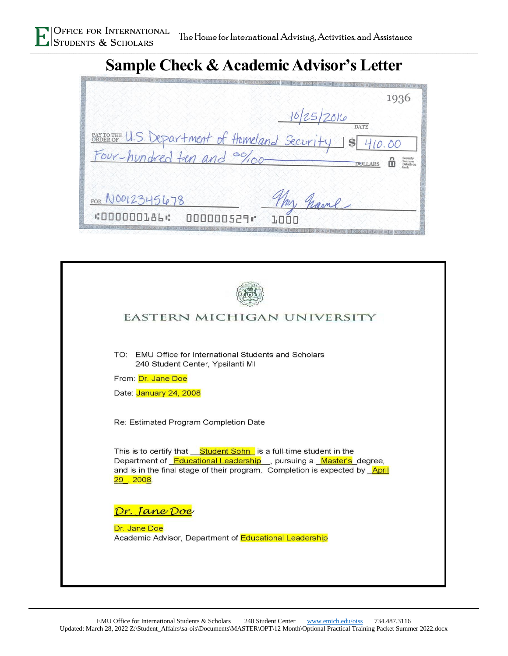# **Sample Check & Academic Advisor's Letter**

|                                               | 1936                                       |
|-----------------------------------------------|--------------------------------------------|
|                                               | 10/25/2016                                 |
| BAXTOTHE U.S. Department of Homeland Security | $\frac{1}{2}$                              |
|                                               | Security<br>Features<br>Details of<br>hack |
| FOR NO012345678                               | hame                                       |
| <b>«000000186 ·:</b><br>000000529"            |                                            |

| EASTERN MICHIGAN UNIVERSITY                                                                                                                                                                                                                 |
|---------------------------------------------------------------------------------------------------------------------------------------------------------------------------------------------------------------------------------------------|
| TO: EMU Office for International Students and Scholars<br>240 Student Center, Ypsilanti MI<br>From: Dr. Jane Doe<br>Date: January 24, 2008                                                                                                  |
| Re: Estimated Program Completion Date                                                                                                                                                                                                       |
| This is to certify that <u>Student Sohn</u> is a full-time student in the<br>Department of Educational Leadership , pursuing a Master's degree,<br>and is in the final stage of their program. Completion is expected by April<br>29, 2008. |
| <u> Dr. Jane Doe</u><br>Dr. Jane Doe<br>Academic Advisor, Department of Educational Leadership                                                                                                                                              |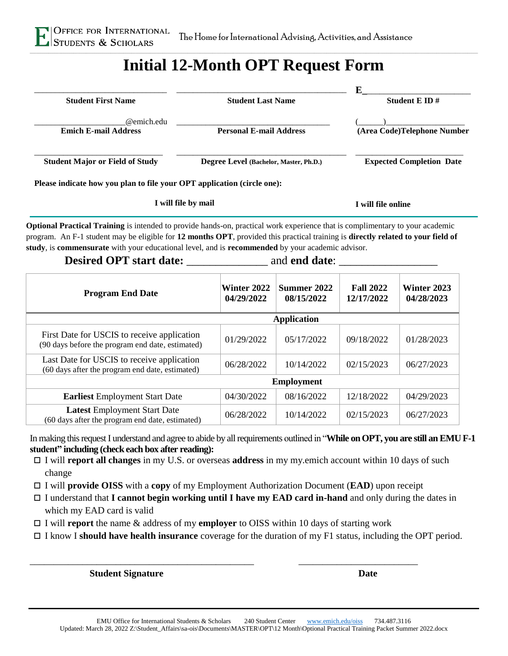

## **Initial 12-Month OPT Request Form**

| <b>Student First Name</b>                                               | <b>Student Last Name</b>               | E<br>Student E ID $#$           |
|-------------------------------------------------------------------------|----------------------------------------|---------------------------------|
| @emich.edu<br><b>Emich E-mail Address</b>                               | <b>Personal E-mail Address</b>         | (Area Code)Telephone Number     |
| <b>Student Major or Field of Study</b>                                  | Degree Level (Bachelor, Master, Ph.D.) | <b>Expected Completion Date</b> |
| Please indicate how you plan to file your OPT application (circle one): |                                        |                                 |
|                                                                         | I will file by mail                    | I will file online              |

**Optional Practical Training** is intended to provide hands-on, practical work experience that is complimentary to your academic program. An F-1 student may be eligible for **12 months OPT**, provided this practical training is **directly related to your field of study**, is **commensurate** with your educational level, and is **recommended** by your academic advisor.

### **Desired OPT start date:** \_\_\_\_\_\_\_\_\_\_\_\_\_\_\_ and **end date**:

| <b>Program End Date</b>                                                                         | Winter 2022<br>04/29/2022 | Summer 2022<br>08/15/2022 | <b>Fall 2022</b><br>12/17/2022 | Winter 2023<br>04/28/2023 |
|-------------------------------------------------------------------------------------------------|---------------------------|---------------------------|--------------------------------|---------------------------|
|                                                                                                 |                           | <b>Application</b>        |                                |                           |
| First Date for USCIS to receive application<br>(90 days before the program end date, estimated) | 01/29/2022                | 05/17/2022                | 09/18/2022                     | 01/28/2023                |
| Last Date for USCIS to receive application<br>(60 days after the program end date, estimated)   | 06/28/2022                | 10/14/2022                | 02/15/2023                     | 06/27/2023                |
|                                                                                                 |                           | <b>Employment</b>         |                                |                           |
| <b>Earliest</b> Employment Start Date                                                           | 04/30/2022                | 08/16/2022                | 12/18/2022                     | 04/29/2023                |
| Latest Employment Start Date<br>(60 days after the program end date, estimated)                 | 06/28/2022                | 10/14/2022                | 02/15/2023                     | 06/27/2023                |

In making this request I understand and agree to abide by all requirements outlined in "**While on OPT, you are still an EMU F-1 student" including (check each box after reading):**

- I will **report all changes** in my U.S. or overseas **address** in my my.emich account within 10 days of such change
- I will **provide OISS** with a **copy** of my Employment Authorization Document (**EAD**) upon receipt
- I understand that **I cannot begin working until I have my EAD card in-hand** and only during the dates in which my EAD card is valid
- I will **report** the name & address of my **employer** to OISS within 10 days of starting work

\_\_\_\_\_\_\_\_\_\_\_\_\_\_\_\_\_\_\_\_\_\_\_\_\_\_\_\_\_\_\_\_\_\_\_\_\_\_\_\_\_\_\_\_\_\_\_ \_\_\_\_\_\_\_\_\_\_\_\_\_\_\_\_\_\_\_\_\_\_\_\_\_

I know I **should have health insurance** coverage for the duration of my F1 status, including the OPT period.

**Student Signature Date**